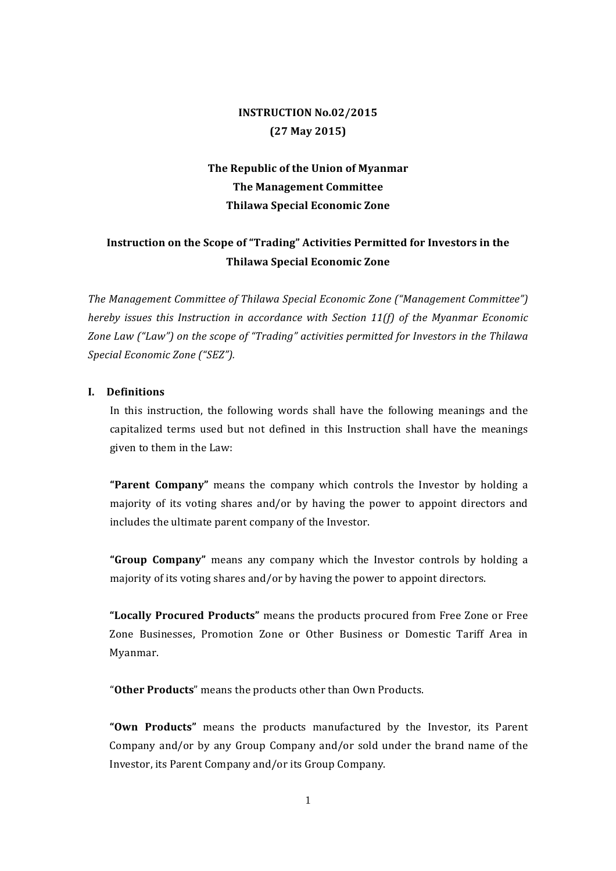## **INSTRUCTION No.02/2015 (27 May 2015)**

# The Republic of the Union of Myanmar **The Management Committee Thilawa Special Economic Zone**

## **Instruction on the Scope of "Trading" Activities Permitted for Investors in the Thilawa Special Economic Zone**

The Management Committee of Thilawa Special Economic Zone ("Management Committee") *hereby issues this Instruction in accordance with Section 11(f) of the Myanmar Economic* Zone Law ("Law") on the scope of "Trading" activities permitted for Investors in the Thilawa *Special Economic Zone ("SEZ").*

## **I. Definitions**

In this instruction, the following words shall have the following meanings and the capitalized terms used but not defined in this Instruction shall have the meanings given to them in the Law:

**"Parent Company"** means the company which controls the Investor by holding a majority of its voting shares and/or by having the power to appoint directors and includes the ultimate parent company of the Investor.

**"Group Company"** means any company which the Investor controls by holding a majority of its voting shares and/or by having the power to appoint directors.

"Locally Procured Products" means the products procured from Free Zone or Free Zone Businesses, Promotion Zone or Other Business or Domestic Tariff Area in Myanmar.

"Other Products" means the products other than Own Products.

**"Own Products"** means the products manufactured by the Investor, its Parent Company and/or by any Group Company and/or sold under the brand name of the Investor, its Parent Company and/or its Group Company.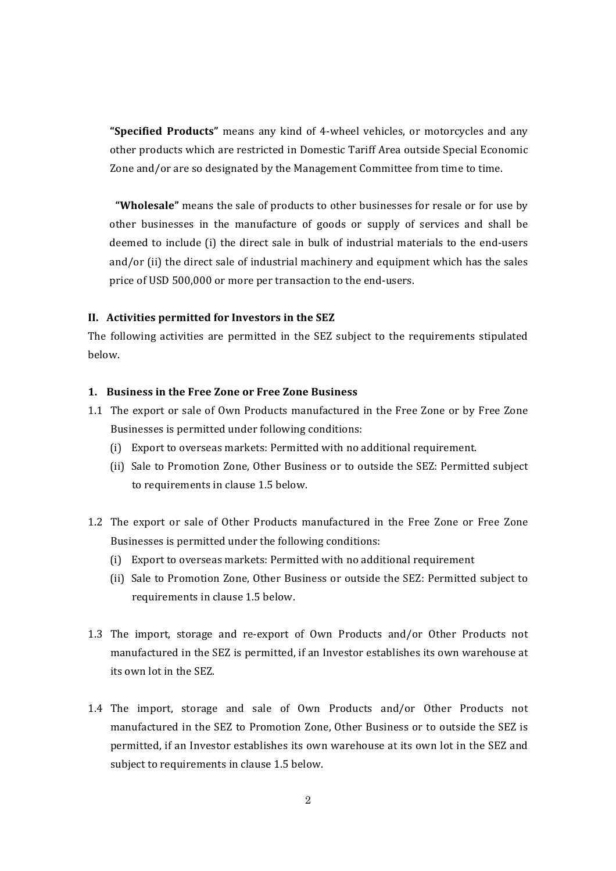**"Specified Products"** means any kind of 4-wheel vehicles, or motorcycles and any other products which are restricted in Domestic Tariff Area outside Special Economic Zone and/or are so designated by the Management Committee from time to time.

"Wholesale" means the sale of products to other businesses for resale or for use by other businesses in the manufacture of goods or supply of services and shall be deemed to include (i) the direct sale in bulk of industrial materials to the end-users and/or (ii) the direct sale of industrial machinery and equipment which has the sales price of USD 500,000 or more per transaction to the end-users.

#### **II.** Activities permitted for Investors in the SEZ

The following activities are permitted in the SEZ subject to the requirements stipulated below. 

#### 1. **Business in the Free Zone or Free Zone Business**

- 1.1 The export or sale of Own Products manufactured in the Free Zone or by Free Zone Businesses is permitted under following conditions:
	- (i) Export to overseas markets: Permitted with no additional requirement.
	- (ii) Sale to Promotion Zone, Other Business or to outside the SEZ: Permitted subject to requirements in clause 1.5 below.
- 1.2 The export or sale of Other Products manufactured in the Free Zone or Free Zone Businesses is permitted under the following conditions:
	- (i) Export to overseas markets: Permitted with no additional requirement
	- (ii) Sale to Promotion Zone, Other Business or outside the SEZ: Permitted subject to requirements in clause 1.5 below.
- 1.3 The import, storage and re-export of Own Products and/or Other Products not manufactured in the SEZ is permitted, if an Investor establishes its own warehouse at its own lot in the SEZ.
- 1.4 The import, storage and sale of Own Products and/or Other Products not manufactured in the SEZ to Promotion Zone, Other Business or to outside the SEZ is permitted, if an Investor establishes its own warehouse at its own lot in the SEZ and subject to requirements in clause 1.5 below.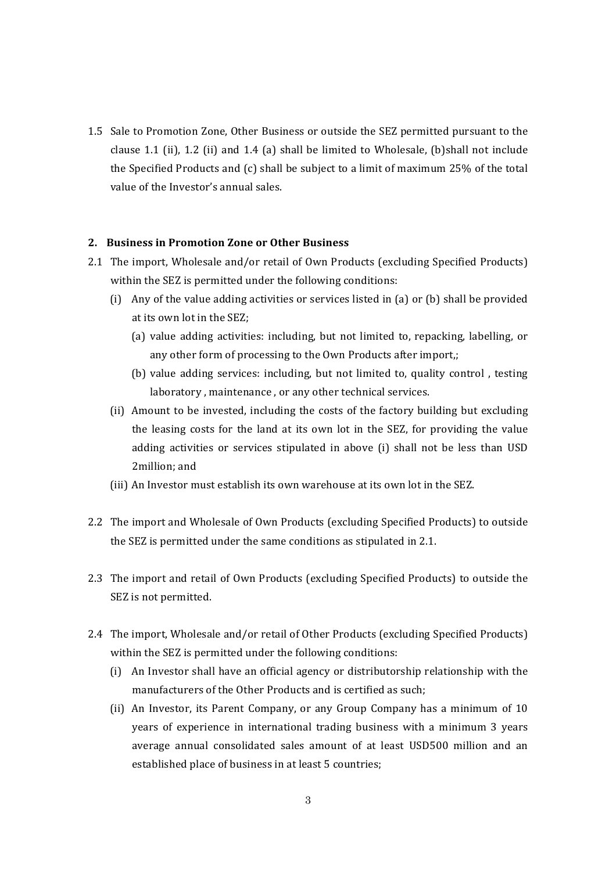1.5 Sale to Promotion Zone, Other Business or outside the SEZ permitted pursuant to the clause 1.1 (ii), 1.2 (ii) and 1.4 (a) shall be limited to Wholesale, (b) shall not include the Specified Products and  $(c)$  shall be subject to a limit of maximum 25% of the total value of the Investor's annual sales.

### **2.** Business in Promotion Zone or Other Business

- 2.1 The import, Wholesale and/or retail of Own Products (excluding Specified Products) within the SEZ is permitted under the following conditions:
	- (i) Any of the value adding activities or services listed in (a) or (b) shall be provided at its own lot in the SEZ;
		- (a) value adding activities: including, but not limited to, repacking, labelling, or any other form of processing to the Own Products after import,;
		- (b) value adding services: including, but not limited to, quality control, testing laboratory, maintenance, or any other technical services.
	- (ii) Amount to be invested, including the costs of the factory building but excluding the leasing costs for the land at its own lot in the SEZ, for providing the value adding activities or services stipulated in above (i) shall not be less than USD 2million; and
	- (iii) An Investor must establish its own warehouse at its own lot in the SEZ.
- 2.2 The import and Wholesale of Own Products (excluding Specified Products) to outside the SEZ is permitted under the same conditions as stipulated in 2.1.
- 2.3 The import and retail of Own Products (excluding Specified Products) to outside the SEZ is not permitted.
- 2.4 The import, Wholesale and/or retail of Other Products (excluding Specified Products) within the SEZ is permitted under the following conditions:
	- (i) An Investor shall have an official agency or distributorship relationship with the manufacturers of the Other Products and is certified as such:
	- (ii) An Investor, its Parent Company, or any Group Company has a minimum of 10 years of experience in international trading business with a minimum 3 years average annual consolidated sales amount of at least USD500 million and an established place of business in at least 5 countries;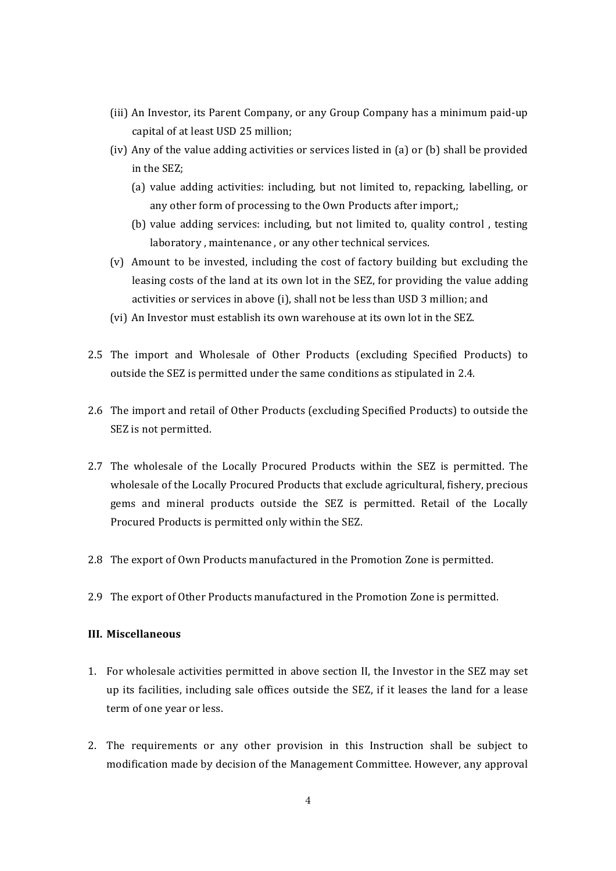- (iii) An Investor, its Parent Company, or any Group Company has a minimum paid-up capital of at least USD 25 million;
- (iv) Any of the value adding activities or services listed in (a) or (b) shall be provided in the SEZ:
	- (a) value adding activities: including, but not limited to, repacking, labelling, or any other form of processing to the Own Products after import,;
	- (b) value adding services: including, but not limited to, quality control, testing laboratory, maintenance, or any other technical services.
- (v) Amount to be invested, including the cost of factory building but excluding the leasing costs of the land at its own lot in the SEZ, for providing the value adding activities or services in above (i), shall not be less than USD 3 million; and
- (vi) An Investor must establish its own warehouse at its own lot in the SEZ.
- 2.5 The import and Wholesale of Other Products (excluding Specified Products) to outside the SEZ is permitted under the same conditions as stipulated in 2.4.
- 2.6 The import and retail of Other Products (excluding Specified Products) to outside the SEZ is not permitted.
- 2.7 The wholesale of the Locally Procured Products within the SEZ is permitted. The wholesale of the Locally Procured Products that exclude agricultural, fishery, precious gems and mineral products outside the SEZ is permitted. Retail of the Locally Procured Products is permitted only within the SEZ.
- 2.8 The export of Own Products manufactured in the Promotion Zone is permitted.
- 2.9 The export of Other Products manufactured in the Promotion Zone is permitted.

### **III. Miscellaneous**

- 1. For wholesale activities permitted in above section II, the Investor in the SEZ may set up its facilities, including sale offices outside the SEZ, if it leases the land for a lease term of one year or less.
- 2. The requirements or any other provision in this Instruction shall be subject to modification made by decision of the Management Committee. However, anv approval